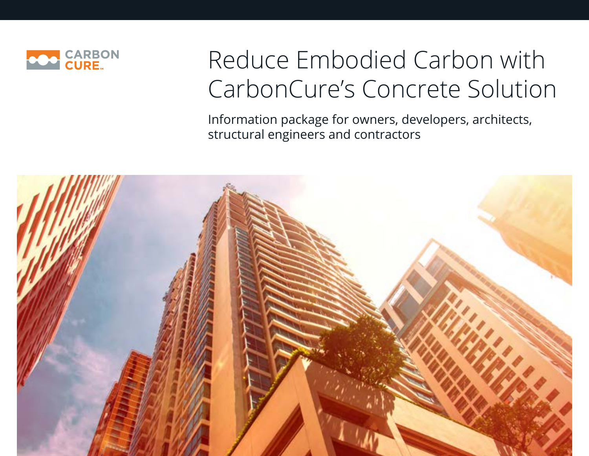

# Reduce Embodied Carbon with CarbonCure's Concrete Solution

Information package for owners, developers, architects, structural engineers and contractors

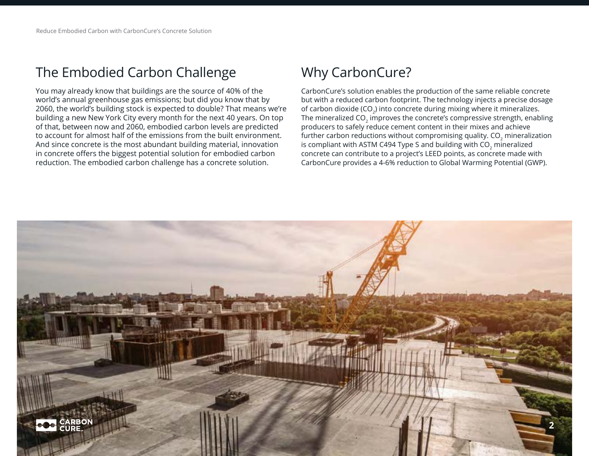## The Embodied Carbon Challenge

You may already know that buildings are the source of 40% of the world's annual greenhouse gas emissions; but did you know that by 2060, the world's building stock is expected to double? That means we're building a new New York City every month for the next 40 years. On top of that, between now and 2060, embodied carbon levels are predicted to account for almost half of the emissions from the built environment. And since concrete is the most abundant building material, innovation in concrete offers the biggest potential solution for embodied carbon reduction. The embodied carbon challenge has a concrete solution.

## Why CarbonCure?

CarbonCure's solution enables the production of the same reliable concrete but with a reduced carbon footprint. The technology injects a precise dosage of carbon dioxide (CO<sub>2</sub>) into concrete during mixing where it mineralizes. The mineralized CO<sub>2</sub> improves the concrete's compressive strength, enabling producers to safely reduce cement content in their mixes and achieve further carbon reductions without compromising quality. CO<sub>2</sub> mineralization is compliant with ASTM C494 Type S and building with  $CO<sub>2</sub>$  mineralized concrete can contribute to a project's LEED points, as concrete made with CarbonCure provides a 4-6% reduction to Global Warming Potential (GWP).

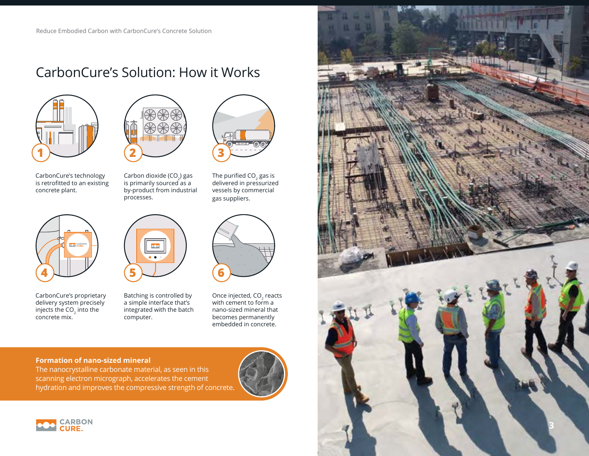## CarbonCure's Solution: How it Works



CarbonCure's technology is retrofitted to an existing concrete plant.



CarbonCure's proprietary delivery system precisely injects the  $CO<sub>2</sub>$  into the concrete mix.



Carbon dioxide (CO<sub>2</sub>) gas<br>is primarily sourced as a by-product from industrial processes.



Batching is controlled by a simple interface that's integrated with the batch computer.



The purified CO $_2$  gas is<br>delivered in pressurized vessels by commercial gas suppliers.

Once injected, CO<sub>2</sub> reacts with cement to form a nano-sized mineral that becomes permanently embedded in concrete.

#### **Formation of nano-sized mineral**

The nanocrystalline carbonate material, as seen in this scanning electron micrograph, accelerates the cement hydration and improves the compressive strength of concrete.





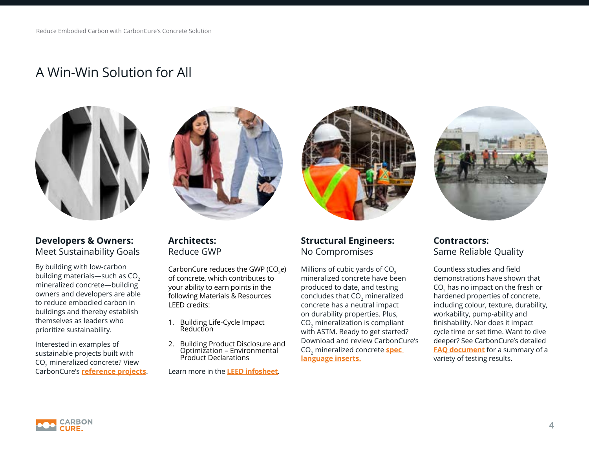### A Win-Win Solution for All





#### **Developers & Owners:**  Meet Sustainability Goals

By building with low-carbon building materials—such as  $CO<sub>2</sub>$ mineralized concrete—building owners and developers are able to reduce embodied carbon in buildings and thereby establish themselves as leaders who prioritize sustainability.

Interested in examples of sustainable projects built with CO2 mineralized concrete? View CarbonCure's **[reference projects](https://www.carboncure.com/resources/?_type=reference-projects)**.

#### **Architects:**  Reduce GWP

CarbonCure reduces the GWP (CO<sub>2</sub>e) of concrete, which contributes to your ability to earn points in the following Materials & Resources LEED credits:

- 1. Building Life-Cycle Impact Reduction
- 2. Building Product Disclosure and Optimization – Environmental Product Declarations

Learn more in the **[LEED infosheet](http://go.carboncure.com/rs/328-NGP-286/images/LEED%20Fact%20Sheet%20-%20CarbonCure%20Ready%20Mix.pdf)**.



#### **Structural Engineers:**  No Compromises

Millions of cubic yards of CO<sub>2</sub> mineralized concrete have been produced to date, and testing concludes that CO<sub>2</sub> mineralized concrete has a neutral impact on durability properties. Plus, CO<sub>2</sub> mineralization is compliant with ASTM. Ready to get started? Download and review CarbonCure's CO2 mineralized concrete **[spec](https://www.carboncure.com/resources/?_type=spec-inserts)  [language inserts.](https://www.carboncure.com/resources/?_type=spec-inserts)**



**Contractors:**  Same Reliable Quality

Countless studies and field demonstrations have shown that CO $_{2}$  has no impact on the fresh or hardened properties of concrete, including colour, texture, durability, workability, pump-ability and finishability. Nor does it impact cycle time or set time. Want to dive deeper? See CarbonCure's detailed **[FAQ document](https://go.carboncure.com/rs/328-NGP-286/images/Brochure_FAQforEngineers_2021.pdf)** for a summary of a variety of testing results.

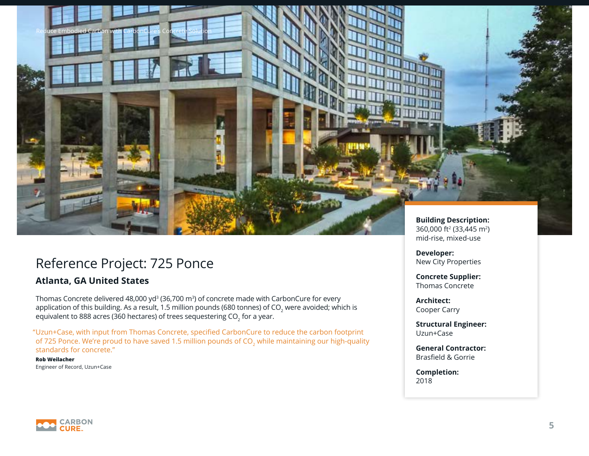### Reference Project: 725 Ponce

Reduce Embodied Carbon with CarbonCure's Concrete Solution

#### **Atlanta, GA United States**

Thomas Concrete delivered 48,000 yd $^{\text{3}}$  (36,700 m $^{\text{3}}$ ) of concrete made with CarbonCure for every application of this building. As a result, 1.5 million pounds (680 tonnes) of CO<sub>2</sub> were avoided; which is equivalent to 888 acres (360 hectares) of trees sequestering CO $_{\rm 2}$  for a year.

Uzun+Case, with input from Thomas Concrete, specified CarbonCure to reduce the carbon footprint " of 725 Ponce. We're proud to have saved 1.5 million pounds of  $CO<sub>2</sub>$  while maintaining our high-quality standards for concrete."

**Rob Weilacher**  Engineer of Record, Uzun+Case

**Building Description:**  360,000 ft2 (33,445 m2) mid-rise, mixed-use

**Developer:** New City Properties

**Concrete Supplier:**  Thomas Concrete

**Architect:**  Cooper Carry

**Structural Engineer:**  Uzun+Case

**General Contractor:**  Brasfield & Gorrie

**Completion:**  2018

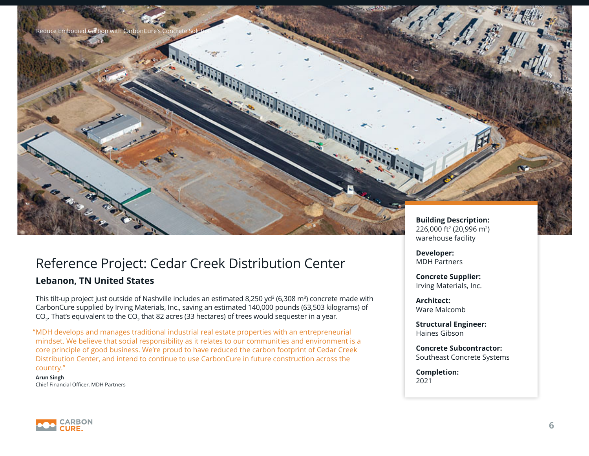

#### **Lebanon, TN United States**

Reduce Embodied Carbon with Carbon

This tilt-up project just outside of Nashville includes an estimated 8,250 yd<sup>3</sup> (6,308 m<sup>3</sup>) concrete made with CarbonCure supplied by Irving Materials, Inc., saving an estimated 140,000 pounds (63,503 kilograms) of CO $_{\textrm{\tiny{2}}}$ . That's equivalent to the CO $_{\textrm{\tiny{2}}}$  that 82 acres (33 hectares) of trees would sequester in a year.

MDH develops and manages traditional industrial real estate properties with an entrepreneurial " mindset. We believe that social responsibility as it relates to our communities and environment is a core principle of good business. We're proud to have reduced the carbon footprint of Cedar Creek Distribution Center, and intend to continue to use CarbonCure in future construction across the country."

**Arun Singh** Chief Financial Officer, MDH Partners **Building Description:**  226,000 ft2 (20,996 m2) warehouse facility

**Developer:** MDH Partners

**Concrete Supplier:**  Irving Materials, Inc.

**Architect:**  Ware Malcomb

**Structural Engineer:**  Haines Gibson

**Concrete Subcontractor:**  Southeast Concrete Systems

**Completion:**  2021

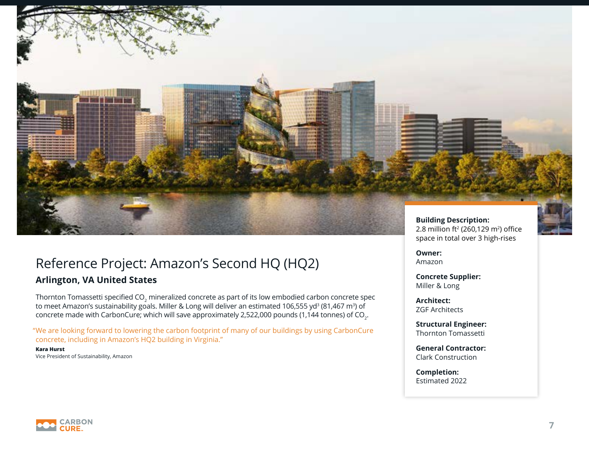

## Reference Project: Amazon's Second HQ (HQ2)

#### **Arlington, VA United States**

Thornton Tomassetti specified CO $_{_2}$  mineralized concrete as part of its low embodied carbon concrete spec to meet Amazon's sustainability goals. Miller & Long will deliver an estimated 106,555 yd<sup>3</sup> (81,467 m<sup>3</sup>) of concrete made with CarbonCure; which will save approximately 2,522,000 pounds (1,144 tonnes) of CO $_{\textrm{\tiny{2}}}$ .

We are looking forward to lowering the carbon footprint of many of our buildings by using CarbonCure " concrete, including in Amazon's HQ2 building in Virginia."

**Kara Hurst**  Vice President of Sustainability, Amazon space in total over 3 high-rises

**Owner:** Amazon

**Concrete Supplier:**  Miller & Long

**Architect:**  ZGF Architects

**Structural Engineer:**  Thornton Tomassetti

**General Contractor:**  Clark Construction

**Completion:**  Estimated 2022